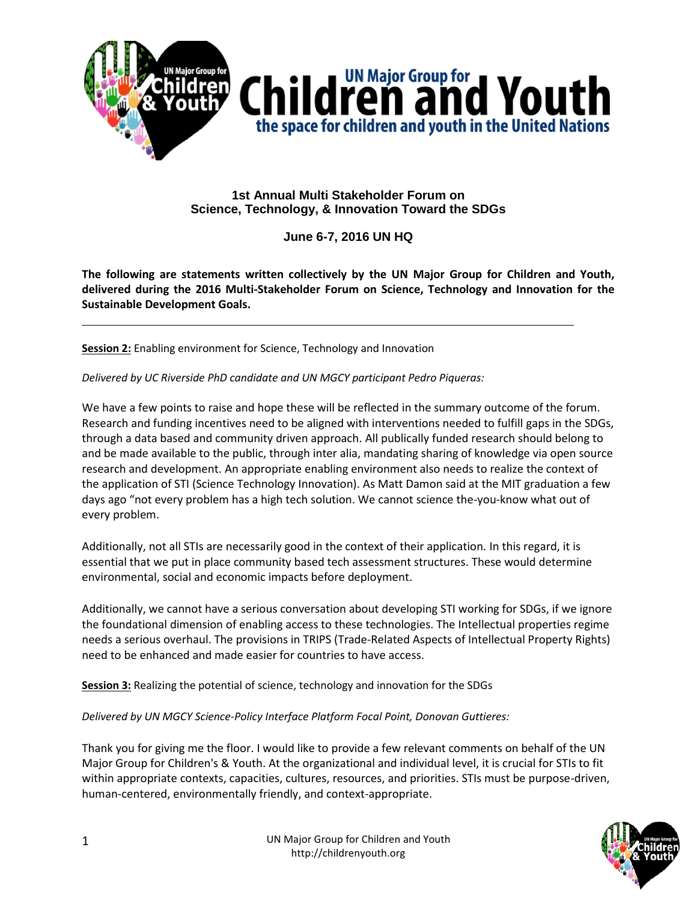

## **1st Annual Multi Stakeholder Forum on Science, Technology, & Innovation Toward the SDGs**

## **June 6-7, 2016 UN HQ**

**The following are statements written collectively by the UN Major Group for Children and Youth, delivered during the 2016 Multi-Stakeholder Forum on Science, Technology and Innovation for the Sustainable Development Goals.**

**Session 2:** Enabling environment for Science, Technology and Innovation

*Delivered by UC Riverside PhD candidate and UN MGCY participant Pedro Piqueras:*

We have a few points to raise and hope these will be reflected in the summary outcome of the forum. Research and funding incentives need to be aligned with interventions needed to fulfill gaps in the SDGs, through a data based and community driven approach. All publically funded research should belong to and be made available to the public, through inter alia, mandating sharing of knowledge via open source research and development. An appropriate enabling environment also needs to realize the context of the application of STI (Science Technology Innovation). As Matt Damon said at the MIT graduation a few days ago "not every problem has a high tech solution. We cannot science the-you-know what out of every problem.

Additionally, not all STIs are necessarily good in the context of their application. In this regard, it is essential that we put in place community based tech assessment structures. These would determine environmental, social and economic impacts before deployment.

Additionally, we cannot have a serious conversation about developing STI working for SDGs, if we ignore the foundational dimension of enabling access to these technologies. The Intellectual properties regime needs a serious overhaul. The provisions in TRIPS (Trade-Related Aspects of Intellectual Property Rights) need to be enhanced and made easier for countries to have access.

**Session 3:** Realizing the potential of science, technology and innovation for the SDGs

*Delivered by UN MGCY Science-Policy Interface Platform Focal Point, Donovan Guttieres:*

Thank you for giving me the floor. I would like to provide a few relevant comments on behalf of the UN Major Group for Children's & Youth. At the organizational and individual level, it is crucial for STIs to fit within appropriate contexts, capacities, cultures, resources, and priorities. STIs must be purpose-driven, human-centered, environmentally friendly, and context-appropriate.

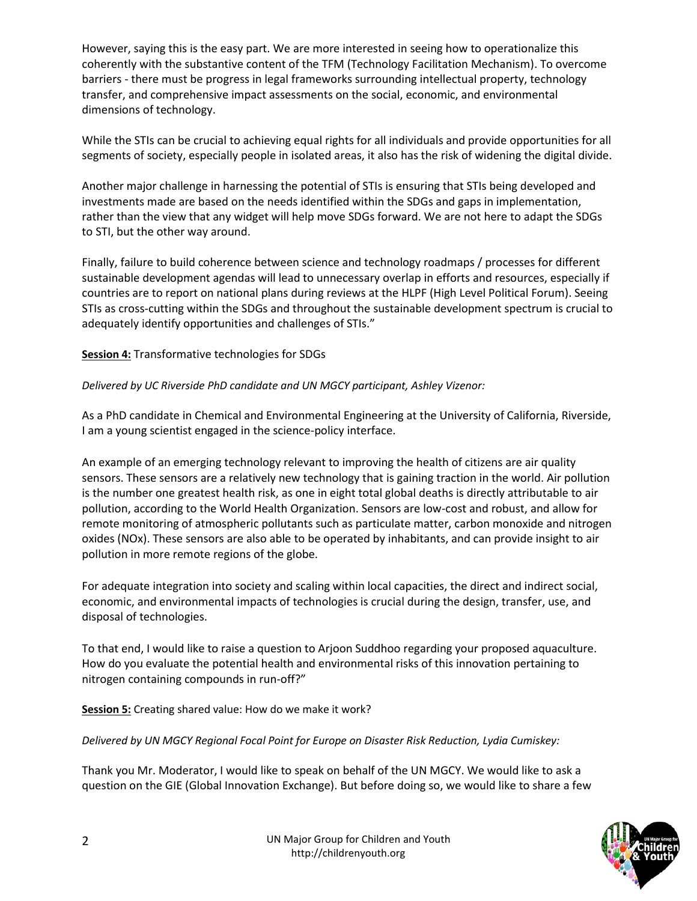However, saying this is the easy part. We are more interested in seeing how to operationalize this coherently with the substantive content of the TFM (Technology Facilitation Mechanism). To overcome barriers - there must be progress in legal frameworks surrounding intellectual property, technology transfer, and comprehensive impact assessments on the social, economic, and environmental dimensions of technology.

While the STIs can be crucial to achieving equal rights for all individuals and provide opportunities for all segments of society, especially people in isolated areas, it also has the risk of widening the digital divide.

Another major challenge in harnessing the potential of STIs is ensuring that STIs being developed and investments made are based on the needs identified within the SDGs and gaps in implementation, rather than the view that any widget will help move SDGs forward. We are not here to adapt the SDGs to STI, but the other way around.

Finally, failure to build coherence between science and technology roadmaps / processes for different sustainable development agendas will lead to unnecessary overlap in efforts and resources, especially if countries are to report on national plans during reviews at the HLPF (High Level Political Forum). Seeing STIs as cross-cutting within the SDGs and throughout the sustainable development spectrum is crucial to adequately identify opportunities and challenges of STIs."

**Session 4:** Transformative technologies for SDGs

## *Delivered by UC Riverside PhD candidate and UN MGCY participant, Ashley Vizenor:*

As a PhD candidate in Chemical and Environmental Engineering at the University of California, Riverside, I am a young scientist engaged in the science-policy interface.

An example of an emerging technology relevant to improving the health of citizens are air quality sensors. These sensors are a relatively new technology that is gaining traction in the world. Air pollution is the number one greatest health risk, as one in eight total global deaths is directly attributable to air pollution, according to the World Health Organization. Sensors are low-cost and robust, and allow for remote monitoring of atmospheric pollutants such as particulate matter, carbon monoxide and nitrogen oxides (NOx). These sensors are also able to be operated by inhabitants, and can provide insight to air pollution in more remote regions of the globe.

For adequate integration into society and scaling within local capacities, the direct and indirect social, economic, and environmental impacts of technologies is crucial during the design, transfer, use, and disposal of technologies.

To that end, I would like to raise a question to Arjoon Suddhoo regarding your proposed aquaculture. How do you evaluate the potential health and environmental risks of this innovation pertaining to nitrogen containing compounds in run-off?"

**Session 5:** Creating shared value: How do we make it work?

*Delivered by UN MGCY Regional Focal Point for Europe on Disaster Risk Reduction, Lydia Cumiskey:*

Thank you Mr. Moderator, I would like to speak on behalf of the UN MGCY. We would like to ask a question on the GIE (Global Innovation Exchange). But before doing so, we would like to share a few

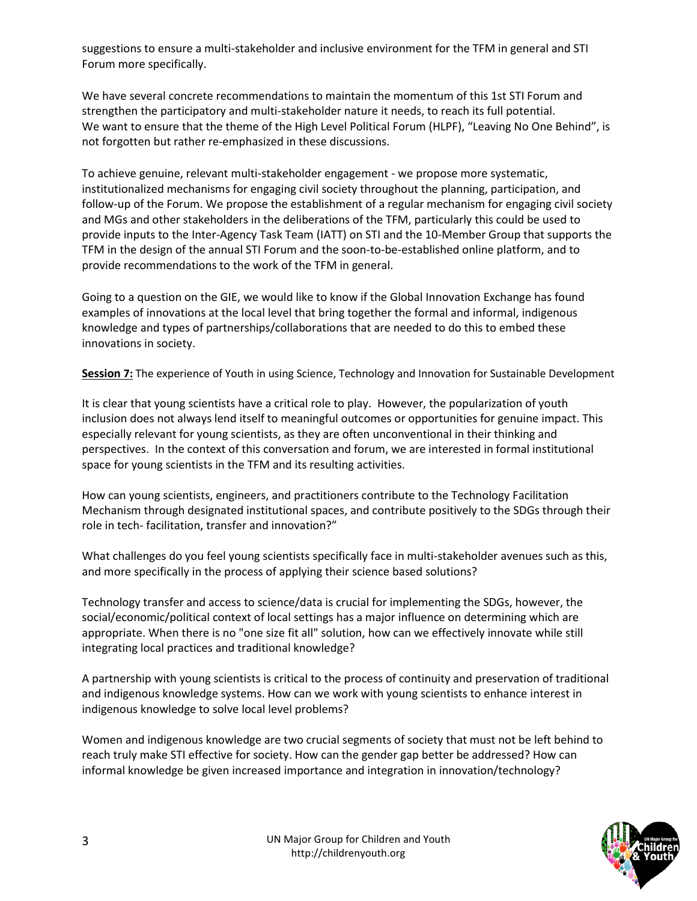suggestions to ensure a multi-stakeholder and inclusive environment for the TFM in general and STI Forum more specifically.

We have several concrete recommendations to maintain the momentum of this 1st STI Forum and strengthen the participatory and multi-stakeholder nature it needs, to reach its full potential. We want to ensure that the theme of the High Level Political Forum (HLPF), "Leaving No One Behind", is not forgotten but rather re-emphasized in these discussions.

To achieve genuine, relevant multi-stakeholder engagement - we propose more systematic, institutionalized mechanisms for engaging civil society throughout the planning, participation, and follow-up of the Forum. We propose the establishment of a regular mechanism for engaging civil society and MGs and other stakeholders in the deliberations of the TFM, particularly this could be used to provide inputs to the Inter-Agency Task Team (IATT) on STI and the 10-Member Group that supports the TFM in the design of the annual STI Forum and the soon-to-be-established online platform, and to provide recommendations to the work of the TFM in general.

Going to a question on the GIE, we would like to know if the Global Innovation Exchange has found examples of innovations at the local level that bring together the formal and informal, indigenous knowledge and types of partnerships/collaborations that are needed to do this to embed these innovations in society.

**Session 7:** The experience of Youth in using Science, Technology and Innovation for Sustainable Development

It is clear that young scientists have a critical role to play. However, the popularization of youth inclusion does not always lend itself to meaningful outcomes or opportunities for genuine impact. This especially relevant for young scientists, as they are often unconventional in their thinking and perspectives. In the context of this conversation and forum, we are interested in formal institutional space for young scientists in the TFM and its resulting activities.

How can young scientists, engineers, and practitioners contribute to the Technology Facilitation Mechanism through designated institutional spaces, and contribute positively to the SDGs through their role in tech- facilitation, transfer and innovation?"

What challenges do you feel young scientists specifically face in multi-stakeholder avenues such as this, and more specifically in the process of applying their science based solutions?

Technology transfer and access to science/data is crucial for implementing the SDGs, however, the social/economic/political context of local settings has a major influence on determining which are appropriate. When there is no "one size fit all" solution, how can we effectively innovate while still integrating local practices and traditional knowledge?

A partnership with young scientists is critical to the process of continuity and preservation of traditional and indigenous knowledge systems. How can we work with young scientists to enhance interest in indigenous knowledge to solve local level problems?

Women and indigenous knowledge are two crucial segments of society that must not be left behind to reach truly make STI effective for society. How can the gender gap better be addressed? How can informal knowledge be given increased importance and integration in innovation/technology?